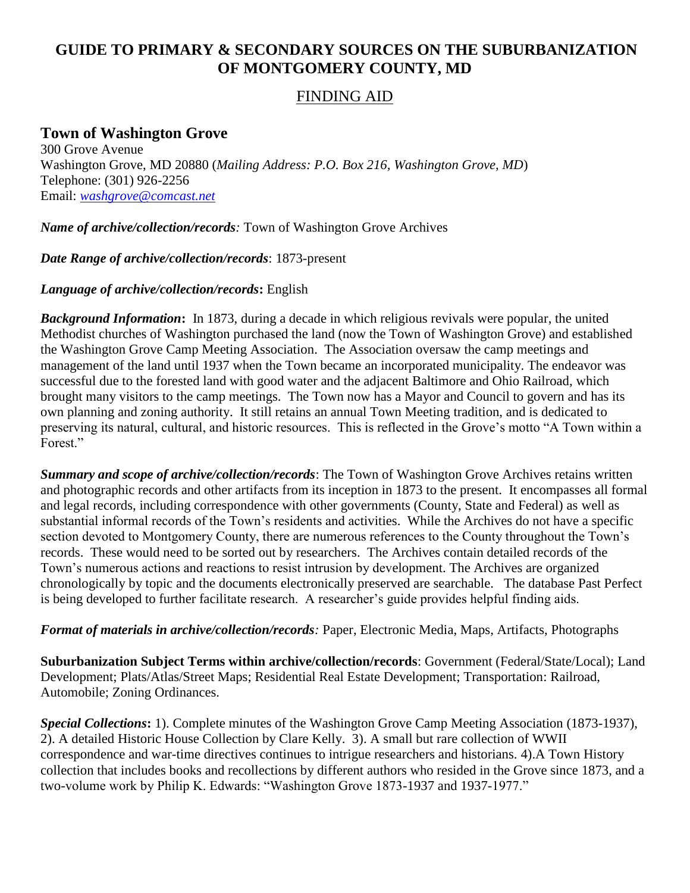## **GUIDE TO PRIMARY & SECONDARY SOURCES ON THE SUBURBANIZATION OF MONTGOMERY COUNTY, MD**

## FINDING AID

## **Town of Washington Grove**

300 Grove Avenue Washington Grove, MD 20880 (*Mailing Address: P.O. Box 216, Washington Grove, MD*) Telephone: (301) 926-2256 Email: *[washgrove@comcast.net](mailto:washgrove@comcast.net)*

*Name of archive/collection/records:* Town of Washington Grove Archives

*Date Range of archive/collection/records*: 1873-present

## *Language of archive/collection/records***:** English

*Background Information***:** In 1873, during a decade in which religious revivals were popular, the united Methodist churches of Washington purchased the land (now the Town of Washington Grove) and established the Washington Grove Camp Meeting Association. The Association oversaw the camp meetings and management of the land until 1937 when the Town became an incorporated municipality. The endeavor was successful due to the forested land with good water and the adjacent Baltimore and Ohio Railroad, which brought many visitors to the camp meetings. The Town now has a Mayor and Council to govern and has its own planning and zoning authority. It still retains an annual Town Meeting tradition, and is dedicated to preserving its natural, cultural, and historic resources. This is reflected in the Grove's motto "A Town within a Forest."

*Summary and scope of archive/collection/records*: The Town of Washington Grove Archives retains written and photographic records and other artifacts from its inception in 1873 to the present. It encompasses all formal and legal records, including correspondence with other governments (County, State and Federal) as well as substantial informal records of the Town's residents and activities. While the Archives do not have a specific section devoted to Montgomery County, there are numerous references to the County throughout the Town's records. These would need to be sorted out by researchers. The Archives contain detailed records of the Town's numerous actions and reactions to resist intrusion by development. The Archives are organized chronologically by topic and the documents electronically preserved are searchable. The database Past Perfect is being developed to further facilitate research. A researcher's guide provides helpful finding aids.

*Format of materials in archive/collection/records:* Paper, Electronic Media, Maps, Artifacts, Photographs

**Suburbanization Subject Terms within archive/collection/records**: Government (Federal/State/Local); Land Development; Plats/Atlas/Street Maps; Residential Real Estate Development; Transportation: Railroad, Automobile; Zoning Ordinances.

*Special Collections***:** 1). Complete minutes of the Washington Grove Camp Meeting Association (1873-1937), 2). A detailed Historic House Collection by Clare Kelly. 3). A small but rare collection of WWII correspondence and war-time directives continues to intrigue researchers and historians. 4).A Town History collection that includes books and recollections by different authors who resided in the Grove since 1873, and a two-volume work by Philip K. Edwards: "Washington Grove 1873-1937 and 1937-1977."